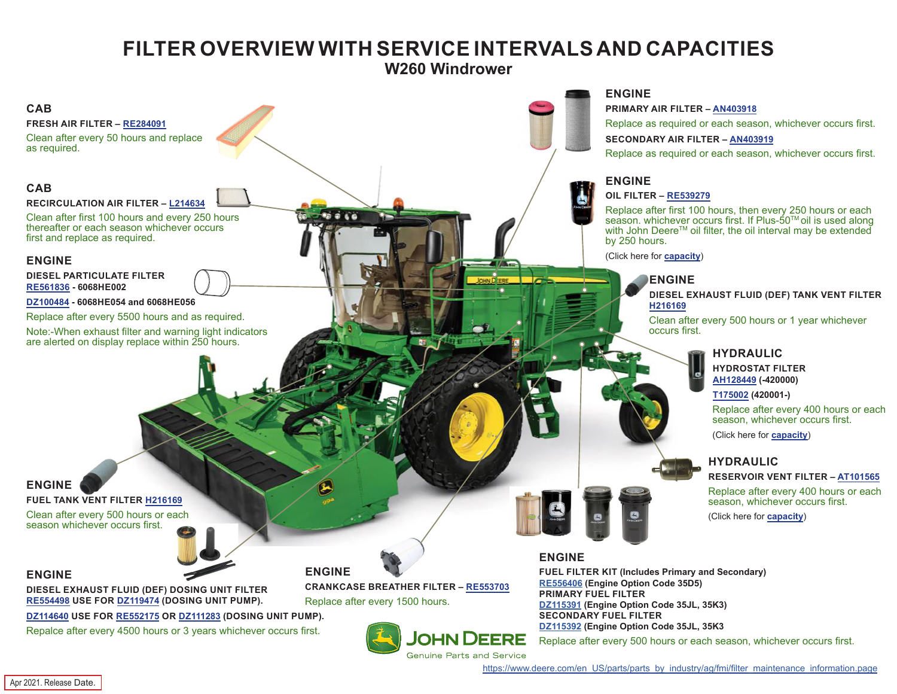## **FILTER OVERVIEW WITH SERVICE INTERVALS AND CAPACITIES**

**W260 Windrower**

<span id="page-0-0"></span>

[https://www.deere.com/en\\_US/parts/parts\\_by\\_industry/ag/fmi/filter\\_maintenance\\_information.page](https://www.deere.com/en_US/parts/parts_by_industry/ag/fmi/filter_maintenance_information.page)